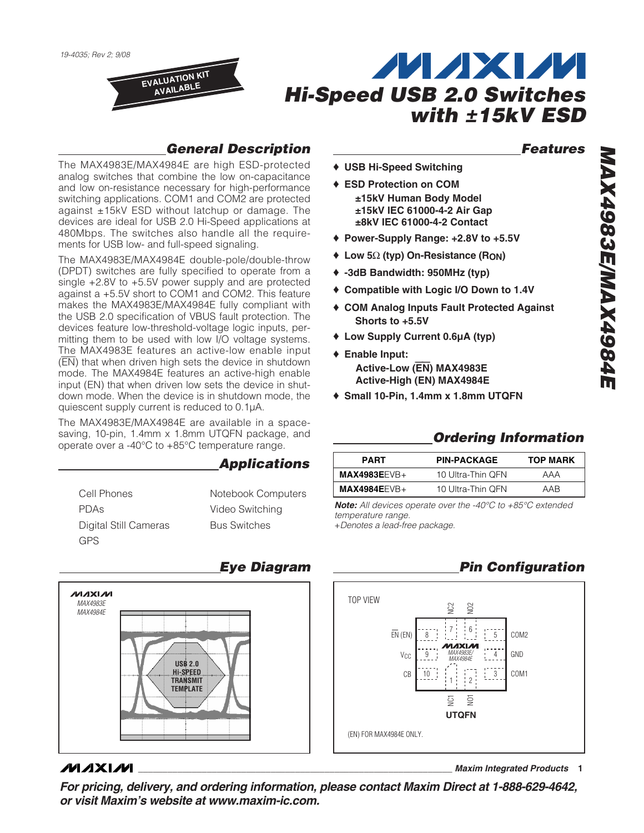

## **General Description**

The MAX4983E/MAX4984E are high ESD-protected analog switches that combine the low on-capacitance and low on-resistance necessary for high-performance switching applications. COM1 and COM2 are protected against ±15kV ESD without latchup or damage. The devices are ideal for USB 2.0 Hi-Speed applications at 480Mbps. The switches also handle all the requirements for USB low- and full-speed signaling.

The MAX4983E/MAX4984E double-pole/double-throw (DPDT) switches are fully specified to operate from a single +2.8V to +5.5V power supply and are protected against a +5.5V short to COM1 and COM2. This feature makes the MAX4983E/MAX4984E fully compliant with the USB 2.0 specification of VBUS fault protection. The devices feature low-threshold-voltage logic inputs, permitting them to be used with low I/O voltage systems. The MAX4983E features an active-low enable input (EN) that when driven high sets the device in shutdown mode. The MAX4984E features an active-high enable input (EN) that when driven low sets the device in shutdown mode. When the device is in shutdown mode, the quiescent supply current is reduced to 0.1µA.

The MAX4983E/MAX4984E are available in a spacesaving, 10-pin, 1.4mm x 1.8mm UTQFN package, and operate over a -40°C to +85°C temperature range.

## **Applications**

Cell Phones PDAs Digital Still Cameras GPS

Notebook Computers Video Switching Bus Switches

# **Eye Diagram /VI/IXI/VI** MAX4983E MAX4984E **USB 2.0 Hi-SPEED TRANSMIT TEMPLATE**

## **MAXM**

**For pricing, delivery, and ordering information, please contact Maxim Direct at 1-888-629-4642, or visit Maxim's website at www.maxim-ic.com.**

## **Features**

- ♦ **USB Hi-Speed Switching**
- ♦ **ESD Protection on COM ±15kV Human Body Model ±15kV IEC 61000-4-2 Air Gap ±8kV IEC 61000-4-2 Contact**
- ♦ **Power-Supply Range: +2.8V to +5.5V**
- ♦ **Low 5**Ω **(typ) On-Resistance (RON)**
- ♦ **-3dB Bandwidth: 950MHz (typ)**
- ♦ **Compatible with Logic I/O Down to 1.4V**
- ♦ **COM Analog Inputs Fault Protected Against Shorts to +5.5V**
- ♦ **Low Supply Current 0.6µA (typ)**
- ♦ **Enable Input: Active-Low (**EN**) MAX4983E Active-High (EN) MAX4984E**
- ♦ **Small 10-Pin, 1.4mm x 1.8mm UTQFN**

## **Ordering Information**

| <b>PART</b>    | <b>PIN-PACKAGE</b> | <b>TOP MARK</b> |
|----------------|--------------------|-----------------|
| $MAX4983EEVB+$ | 10 Ultra-Thin QFN  | AAA             |
| $MAX4984EEVB+$ | 10 Ultra-Thin QFN  | AAR             |

**Note:** All devices operate over the -40°C to +85°C extended temperature range.

+Denotes a lead-free package.

#### TOP VIEW **UTQFN** NC2 NO2 NC1 NO1 7 6 C<sub>OM2</sub> EN (EN) 8 5 ΞÌ  $\mathsf{V}_{\mathbb{C}\mathbb{C}}$ 9 4 GND MAX4983E/ MAX4984E  $\frac{1}{2}$   $\frac{3}{2}$ CB | 10 : : : : : : : : 3 | COM1 1 2 (EN) FOR MAX4984E ONLY.

**Pin Configuration**

**\_\_\_\_\_\_\_\_\_\_\_\_\_\_\_\_\_\_\_\_\_\_\_\_\_\_\_\_\_\_\_\_\_\_\_\_\_\_\_\_\_\_\_\_\_\_\_\_\_\_\_\_\_\_\_\_\_\_\_\_\_\_\_\_ Maxim Integrated Products 1**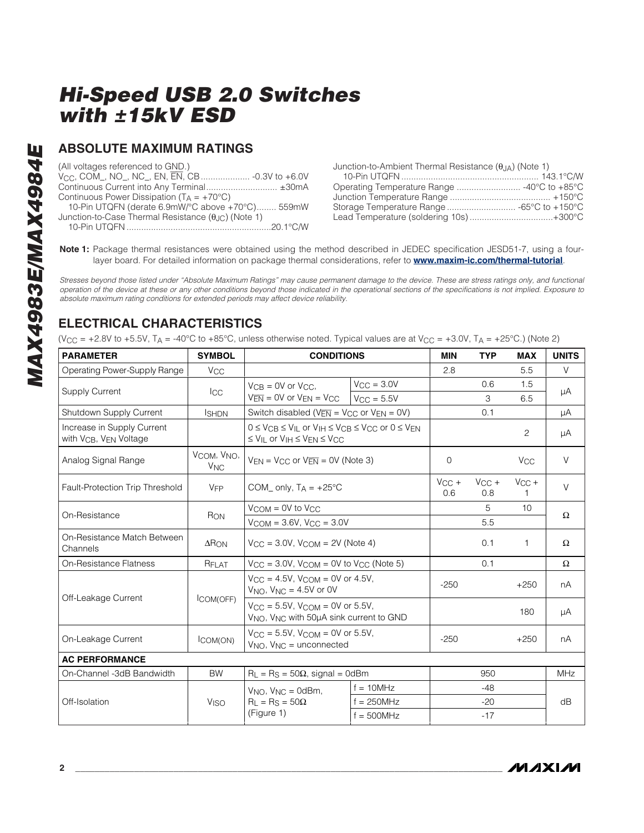## **ABSOLUTE MAXIMUM RATINGS**

| (All voltages referenced to GND.)                                   |
|---------------------------------------------------------------------|
|                                                                     |
| Continuous Current into Any Terminal ±30mA                          |
| Continuous Power Dissipation ( $T_A = +70^{\circ}C$ )               |
| 10-Pin UTQFN (derate 6.9mW/°C above +70°C) 559mW                    |
| Junction-to-Case Thermal Resistance $(\theta_{\text{JC}})$ (Note 1) |
|                                                                     |
|                                                                     |

| Junction-to-Ambient Thermal Resistance $(\theta_{J A})$ (Note 1) |  |
|------------------------------------------------------------------|--|
|                                                                  |  |
|                                                                  |  |
|                                                                  |  |
|                                                                  |  |
| Lead Temperature (soldering 10s)+300°C                           |  |

**Note 1:** Package thermal resistances were obtained using the method described in JEDEC specification JESD51-7, using a fourlayer board. For detailed information on package thermal considerations, refer to **www.maxim-ic.com/thermal-tutorial**.

Stresses beyond those listed under "Absolute Maximum Ratings" may cause permanent damage to the device. These are stress ratings only, and functional operation of the device at these or any other conditions beyond those indicated in the operational sections of the specifications is not implied. Exposure to absolute maximum rating conditions for extended periods may affect device reliability.

## **ELECTRICAL CHARACTERISTICS**

(V<sub>CC</sub> = +2.8V to +5.5V, T<sub>A</sub> = -40°C to +85°C, unless otherwise noted. Typical values are at V<sub>CC</sub> = +3.0V, T<sub>A</sub> = +25°C.) (Note 2)

| <b>PARAMETER</b>                                                             | <b>SYMBOL</b>                       | <b>CONDITIONS</b>                                                                                                                                              |                     | <b>MIN</b>        | <b>TYP</b>        | <b>MAX</b>            | <b>UNITS</b> |  |
|------------------------------------------------------------------------------|-------------------------------------|----------------------------------------------------------------------------------------------------------------------------------------------------------------|---------------------|-------------------|-------------------|-----------------------|--------------|--|
| Operating Power-Supply Range                                                 | <b>V<sub>CC</sub></b>               |                                                                                                                                                                |                     | 2.8               |                   | 5.5                   | V            |  |
| <b>Supply Current</b>                                                        |                                     | $V_{CR} = 0V$ or $V_{CC}$ .                                                                                                                                    | $V_{CC} = 3.0V$     |                   | 0.6               | 1.5                   | μA           |  |
|                                                                              | <b>I</b> CC                         | $V_{\overline{\text{EN}}}$ = 0V or $V_{\text{EN}}$ = $V_{\text{CC}}$                                                                                           | $V_{\rm CC} = 5.5V$ |                   | 3                 | 6.5                   |              |  |
| Shutdown Supply Current                                                      | <b>I</b> SHDN                       | Switch disabled ( $V_{\overline{EN}}$ = $V_{CC}$ or $V_{EN}$ = 0V)                                                                                             |                     |                   | 0.1               |                       | μA           |  |
| Increase in Supply Current<br>with V <sub>CB</sub> , V <sub>EN</sub> Voltage |                                     | $0 \le V_{CR} \le V_{II}$ or $V_{IH} \le V_{CR} \le V_{CC}$ or $0 \le V_{FN}$<br>$\leq V_{\text{IL}}$ or $V_{\text{IH}} \leq V_{\text{EN}} \leq V_{\text{CC}}$ |                     |                   |                   | $\overline{2}$        | μA           |  |
| Analog Signal Range                                                          | VCOM, VNO,<br><b>V<sub>NC</sub></b> | $V_{FN} = V_{CC}$ or $V_{FN} = 0V$ (Note 3)                                                                                                                    |                     | $\Omega$          |                   | <b>V<sub>CC</sub></b> | V            |  |
| Fault-Protection Trip Threshold                                              | <b>V<sub>FP</sub></b>               | COM_ only, $T_A = +25^{\circ}C$                                                                                                                                |                     | $V_{CC}$ +<br>0.6 | $V_{CC}$ +<br>0.8 | $V_{CC}$ +            | $\vee$       |  |
| On-Resistance                                                                | RON                                 | $V_{COM} = 0V$ to $V_{CC}$                                                                                                                                     |                     |                   | 5                 | 10 <sup>1</sup>       | $\Omega$     |  |
|                                                                              |                                     | $V_{COM} = 3.6V$ , $V_{CC} = 3.0V$                                                                                                                             |                     |                   | 5.5               |                       |              |  |
| On-Resistance Match Between<br>Channels                                      | $\Delta$ RON                        | $V_{\rm CC}$ = 3.0V, $V_{\rm COM}$ = 2V (Note 4)                                                                                                               |                     |                   | 0.1               | 1                     | $\Omega$     |  |
| <b>On-Resistance Flatness</b>                                                | RFLAT                               | $V_{CC}$ = 3.0V, $V_{COM}$ = 0V to $V_{CC}$ (Note 5)                                                                                                           |                     |                   | 0.1               |                       | $\Omega$     |  |
| Off-Leakage Current                                                          | COM(OFF)                            | $V_{CC} = 4.5V$ , $V_{COM} = 0V$ or 4.5V,<br>$V_{NQ}$ , $V_{NC} = 4.5V$ or OV                                                                                  |                     | $-250$            |                   | $+250$                | nA           |  |
|                                                                              |                                     | $V_{CC} = 5.5V$ , $V_{COM} = 0V$ or 5.5V,<br>V <sub>NO</sub> , V <sub>NC</sub> with 50µA sink current to GND                                                   |                     |                   |                   | 180                   | μA           |  |
| On-Leakage Current                                                           | ICOM(ON)                            | $V_{\rm CC} = 5.5V$ , $V_{\rm COM} = 0V$ or 5.5V,<br>$V_{NO}$ , $V_{NC}$ = unconnected                                                                         |                     | $-250$            |                   | $+250$                | nA           |  |
| <b>AC PERFORMANCE</b>                                                        |                                     |                                                                                                                                                                |                     |                   |                   |                       |              |  |
| On-Channel -3dB Bandwidth                                                    | <b>BW</b>                           | $R_L = R_S = 50\Omega$ , signal = 0dBm                                                                                                                         |                     |                   | 950               |                       | <b>MHz</b>   |  |
|                                                                              |                                     | $V_{NO}$ , $V_{NC} = 0$ dBm,                                                                                                                                   | $f = 10$ MHz        |                   | $-48$             |                       |              |  |
| Off-Isolation                                                                | <b>V<sub>ISO</sub></b>              | $R_L = Rs = 50\Omega$                                                                                                                                          | $f = 250$ MHz       |                   | $-20$             |                       | dB           |  |
|                                                                              |                                     | (Figure 1)<br>$f = 500$ MHz                                                                                                                                    |                     |                   | $-17$             |                       |              |  |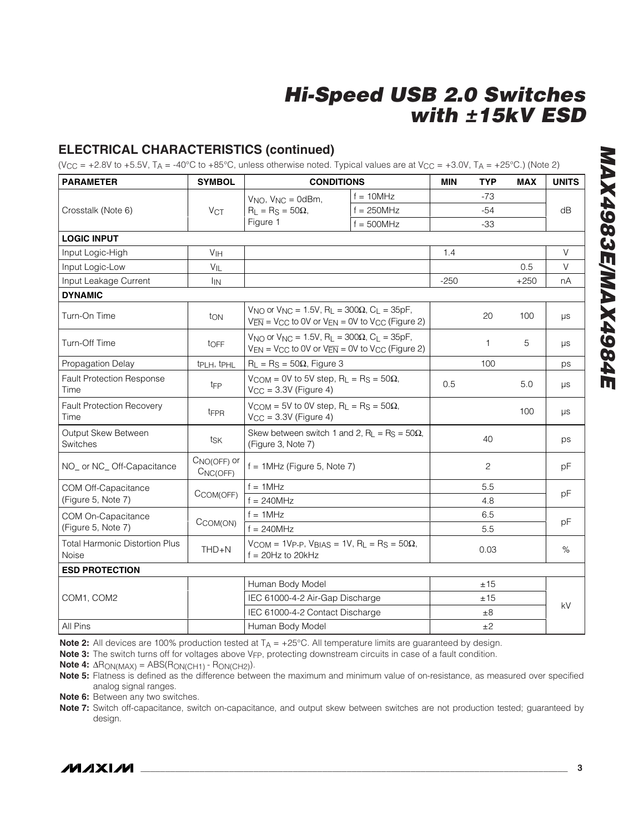## **ELECTRICAL CHARACTERISTICS (continued)**

(V<sub>CC</sub> = +2.8V to +5.5V, T<sub>A</sub> = -40°C to +85°C, unless otherwise noted. Typical values are at V<sub>CC</sub> = +3.0V, T<sub>A</sub> = +25°C.) (Note 2)

| <b>PARAMETER</b>                               | <b>SYMBOL</b>                          | <b>CONDITIONS</b>                                                                                                                                                                |              | <b>MIN</b> | <b>TYP</b>     | <b>MAX</b> | <b>UNITS</b> |
|------------------------------------------------|----------------------------------------|----------------------------------------------------------------------------------------------------------------------------------------------------------------------------------|--------------|------------|----------------|------------|--------------|
|                                                |                                        | $V_{NO}$ , $V_{NC} = 0$ dBm,                                                                                                                                                     | $f = 10$ MHz |            | $-73$          |            |              |
| Crosstalk (Note 6)                             | <b>VCT</b>                             | $R_1 = Rs = 50\Omega$ .                                                                                                                                                          | $f = 250MHz$ |            | $-54$          |            | dB           |
|                                                |                                        | Figure 1                                                                                                                                                                         | $f = 500MHz$ |            | $-33$          |            |              |
| <b>LOGIC INPUT</b>                             |                                        |                                                                                                                                                                                  |              |            |                |            |              |
| Input Logic-High                               | V <sub>IH</sub>                        |                                                                                                                                                                                  |              | 1.4        |                |            | $\vee$       |
| Input Logic-Low                                | $V_{\parallel}$                        |                                                                                                                                                                                  |              |            |                | 0.5        | V            |
| Input Leakage Current                          | <b>I</b> IN                            |                                                                                                                                                                                  |              | $-250$     |                | $+250$     | nA           |
| <b>DYNAMIC</b>                                 |                                        |                                                                                                                                                                                  |              |            |                |            |              |
| Turn-On Time                                   | ton                                    | $V_{NO}$ or $V_{NC} = 1.5V$ , R <sub>L</sub> = 300Ω, C <sub>L</sub> = 35pF,<br>$V_{\overline{EN}}$ = V <sub>CC</sub> to 0V or V <sub>EN</sub> = 0V to V <sub>CC</sub> (Figure 2) |              |            | 20             | 100        | μs           |
| Turn-Off Time                                  | toFF                                   | V <sub>NO</sub> or V <sub>NC</sub> = 1.5V, R <sub>L</sub> = 300Ω, C <sub>L</sub> = 35pF,<br>$V_{EN}$ = V <sub>CC</sub> to 0V or $V_{EN}$ = 0V to V <sub>CC</sub> (Figure 2)      |              | 1          | 5              | μs         |              |
| Propagation Delay                              | tpLH, tpHL                             | $R_L = Rs = 50\Omega$ , Figure 3                                                                                                                                                 |              | 100        |                | ps         |              |
| <b>Fault Protection Response</b><br>Time       | t <sub>FP</sub>                        | $V_{COM} = 0V$ to 5V step, $R_L = R_S = 50\Omega$ ,<br>$V_{CC}$ = 3.3V (Figure 4)                                                                                                | 0.5          |            | 5.0            | μs         |              |
| <b>Fault Protection Recovery</b><br>Time       | t <sub>FPR</sub>                       | $V_{COM} = 5V$ to 0V step, $R_L = R_S = 50\Omega$ ,<br>$V_{CC} = 3.3V$ (Figure 4)                                                                                                |              |            |                | 100        | $\mu s$      |
| Output Skew Between<br>Switches                | tsk                                    | Skew between switch 1 and 2, R <sub>L</sub> = R <sub>S</sub> = 50 $\Omega$ ,<br>(Figure 3, Note 7)                                                                               |              |            | 40             |            | ps           |
| NO_ or NC_Off-Capacitance                      | $CNO(OFF)$ or<br>C <sub>NC</sub> (OFF) | $f = 1$ MHz (Figure 5, Note 7)                                                                                                                                                   |              |            | $\overline{2}$ |            | pF           |
| COM Off-Capacitance                            |                                        | $f = 1$ MHz                                                                                                                                                                      |              |            | 5.5            |            |              |
| (Figure 5, Note 7)                             | CCOM(OFF)                              | $f = 240$ MHz                                                                                                                                                                    |              | 4.8        |                |            | pF           |
| COM On-Capacitance                             |                                        | $f = 1$ MHz<br>$f = 240$ MHz                                                                                                                                                     |              |            | 6.5            |            |              |
| (Figure 5, Note 7)                             | CCOM(ON)                               |                                                                                                                                                                                  |              |            | 5.5            |            | рF           |
| <b>Total Harmonic Distortion Plus</b><br>Noise | $THD + N$                              | $V_{COM} = 1V_{P-P}$ , $V_{BIAS} = 1V$ , $R_L = R_S = 50\Omega$ ,<br>$f = 20$ Hz to 20kHz                                                                                        |              |            | 0.03           |            | %            |
| <b>ESD PROTECTION</b>                          |                                        |                                                                                                                                                                                  |              |            |                |            |              |
|                                                |                                        | Human Body Model                                                                                                                                                                 |              |            | ±15            |            |              |
| COM1, COM2                                     |                                        | IEC 61000-4-2 Air-Gap Discharge                                                                                                                                                  |              |            | ±15            |            | kV           |
|                                                |                                        | IEC 61000-4-2 Contact Discharge                                                                                                                                                  |              |            | ±8             |            |              |
| All Pins                                       |                                        | Human Body Model                                                                                                                                                                 |              | ±2         |                |            |              |

**Note 2:** All devices are 100% production tested at T<sub>A</sub> = +25°C. All temperature limits are guaranteed by design.

Note 3: The switch turns off for voltages above V<sub>FP</sub>, protecting downstream circuits in case of a fault condition.

**Note 4:** ΔRON(MAX) = ABS(RON(CH1) - RON(CH2)).

**Note 5:** Flatness is defined as the difference between the maximum and minimum value of on-resistance, as measured over specified analog signal ranges.

**Note 6:** Between any two switches.

**Note 7:** Switch off-capacitance, switch on-capacitance, and output skew between switches are not production tested; guaranteed by design.

# **MAX4983E/MAX4984E** MAX4983E/MAX4984E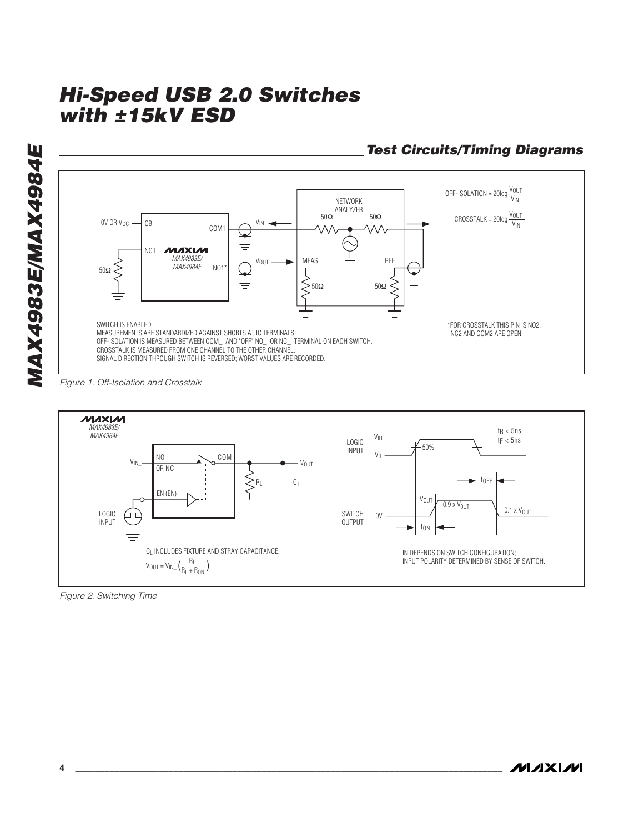$OFF-ISOLATION = 20log \frac{V_{OUT}}{V_{IN}}$ NETWORK ANALYZER 50Ω 50Ω  $CROSSTALK = 20log \frac{V_{OUT}}{V_{IN}}$ OV OR  $V_{CC}$  -CB VIN COM1 **MAXIM** NC1 *MAX4983E/*  $MEES$  REF VOUT *MAX4984E* NO1\* 50Ω  $\begin{aligned}\n\begin{cases}\n50\Omega\n\end{cases}\n\end{aligned}$  50 $\Omega$ SWITCH IS ENABLED. \*FOR CROSSTALK THIS PIN IS NO2. MEASUREMENTS ARE STANDARDIZED AGAINST SHORTS AT IC TERMINALS. NC2 AND COM2 ARE OPEN. OFF-ISOLATION IS MEASURED BETWEEN COM\_ AND "OFF" NO\_ OR NC\_ TERMINAL ON EACH SWITCH. CROSSTALK IS MEASURED FROM ONE CHANNEL TO THE OTHER CHANNEL. SIGNAL DIRECTION THROUGH SWITCH IS REVERSED; WORST VALUES ARE RECORDED.

Figure 1. Off-Isolation and Crosstalk

**MAX4983E/MAX4984E**

MAX4983E/MAX4984E



Figure 2. Switching Time

# **Test Circuits/Timing Diagrams**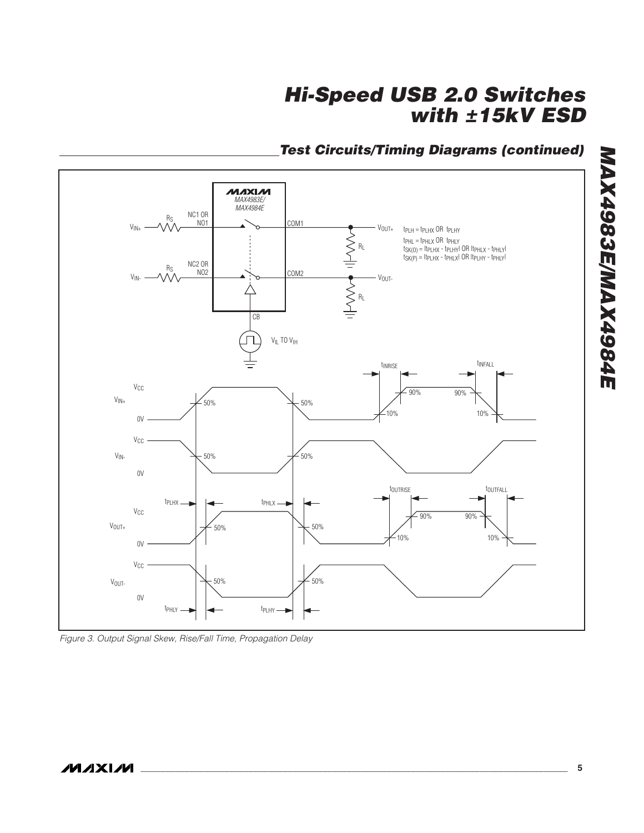# **Test Circuits/Timing Diagrams (continued)**



Figure 3. Output Signal Skew, Rise/Fall Time, Propagation Delay

**MAX4983E/MAX4984E**

**MAX4983E/MAX4984E**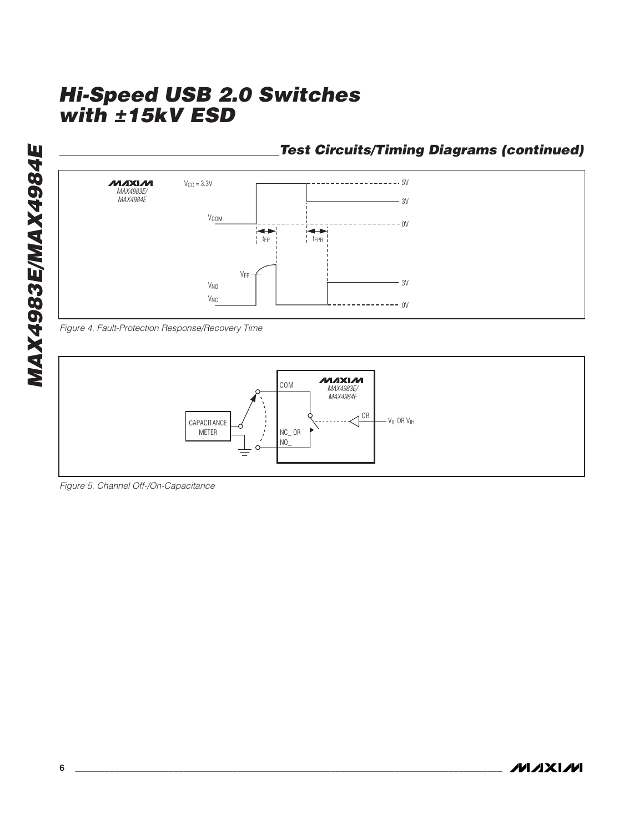**Test Circuits/Timing Diagrams (continued)**



Figure 4. Fault-Protection Response/Recovery Time



Figure 5. Channel Off-/On-Capacitance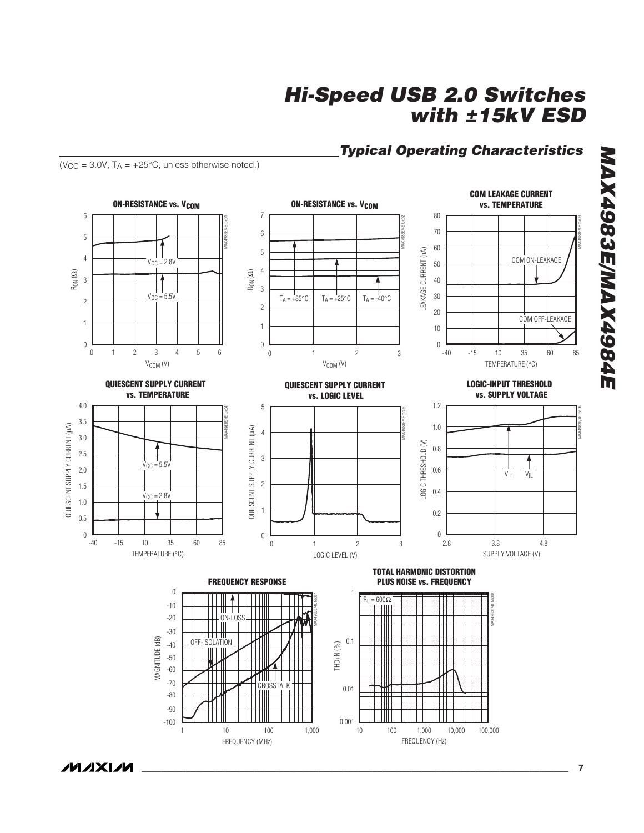## **Typical Operating Characteristics**

( $V_{CC}$  = 3.0V,  $T_A$  = +25°C, unless otherwise noted.)



**MAX4983E/MAX4984E** MAX4983E/MAX4984E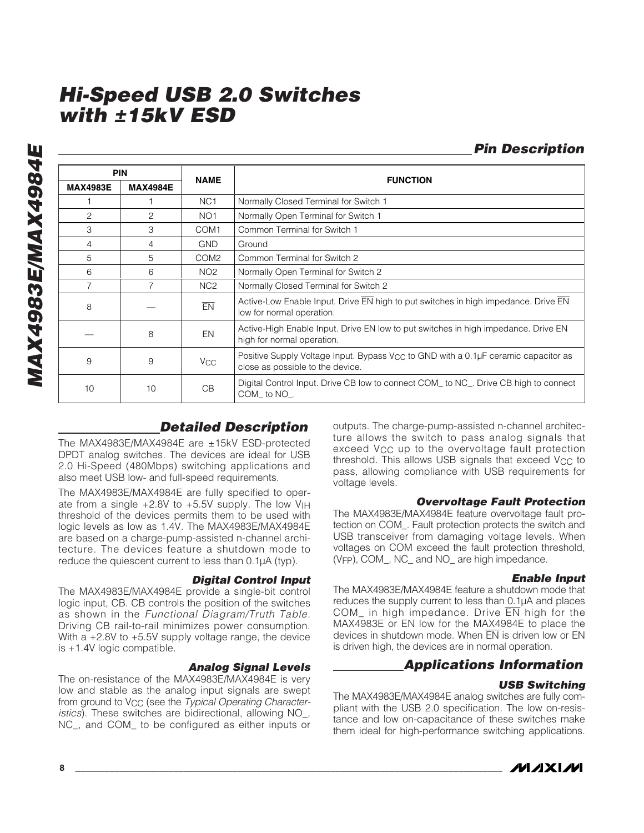**MAX4983E/MAX4984E** MAX4983E/MAX4984E

|                 | <b>PIN</b>      |                       | <b>FUNCTION</b>                                                                                                            |  |  |
|-----------------|-----------------|-----------------------|----------------------------------------------------------------------------------------------------------------------------|--|--|
| <b>MAX4983E</b> | <b>MAX4984E</b> | <b>NAME</b>           |                                                                                                                            |  |  |
|                 |                 | NC <sub>1</sub>       | Normally Closed Terminal for Switch 1                                                                                      |  |  |
| 2               | 2               | NO <sub>1</sub>       | Normally Open Terminal for Switch 1                                                                                        |  |  |
| 3               | 3               | COM <sub>1</sub>      | Common Terminal for Switch 1                                                                                               |  |  |
| 4               | 4               | <b>GND</b>            | Ground                                                                                                                     |  |  |
| 5               | 5               | COM <sub>2</sub>      | Common Terminal for Switch 2                                                                                               |  |  |
| 6               | 6               | NO <sub>2</sub>       | Normally Open Terminal for Switch 2                                                                                        |  |  |
|                 |                 | NC <sub>2</sub>       | Normally Closed Terminal for Switch 2                                                                                      |  |  |
| 8               |                 | EN                    | Active-Low Enable Input. Drive EN high to put switches in high impedance. Drive EN<br>low for normal operation.            |  |  |
|                 | 8               | EN                    | Active-High Enable Input. Drive EN low to put switches in high impedance. Drive EN<br>high for normal operation.           |  |  |
| 9               | 9               | <b>V<sub>CC</sub></b> | Positive Supply Voltage Input. Bypass $V_{CC}$ to GND with a 0.1µF ceramic capacitor as<br>close as possible to the device |  |  |

10 10 CB Digital Control Input. Drive CB low to connect COM\_ to NC\_. Drive CB high to connect

## **Detailed Description**

COM\_ to NO\_.

The MAX4983E/MAX4984E are ±15kV ESD-protected DPDT analog switches. The devices are ideal for USB 2.0 Hi-Speed (480Mbps) switching applications and also meet USB low- and full-speed requirements.

The MAX4983E/MAX4984E are fully specified to operate from a single  $+2.8V$  to  $+5.5V$  supply. The low  $V_{\parallel H}$ threshold of the devices permits them to be used with logic levels as low as 1.4V. The MAX4983E/MAX4984E are based on a charge-pump-assisted n-channel architecture. The devices feature a shutdown mode to reduce the quiescent current to less than 0.1µA (typ).

#### **Digital Control Input**

The MAX4983E/MAX4984E provide a single-bit control logic input, CB. CB controls the position of the switches as shown in the Functional Diagram/Truth Table. Driving CB rail-to-rail minimizes power consumption. With a +2.8V to +5.5V supply voltage range, the device is +1.4V logic compatible.

#### **Analog Signal Levels**

The on-resistance of the MAX4983E/MAX4984E is very low and stable as the analog input signals are swept from ground to V<sub>CC</sub> (see the *Typical Operating Character*istics). These switches are bidirectional, allowing NO\_, NC\_, and COM\_ to be configured as either inputs or outputs. The charge-pump-assisted n-channel architecture allows the switch to pass analog signals that exceed V<sub>CC</sub> up to the overvoltage fault protection threshold. This allows USB signals that exceed  $V_{CC}$  to pass, allowing compliance with USB requirements for voltage levels.

#### **Overvoltage Fault Protection**

**Pin Description**

The MAX4983E/MAX4984E feature overvoltage fault protection on COM\_. Fault protection protects the switch and USB transceiver from damaging voltage levels. When voltages on COM exceed the fault protection threshold, (VFP), COM\_, NC\_ and NO\_ are high impedance.

#### **Enable Input**

The MAX4983E/MAX4984E feature a shutdown mode that reduces the supply current to less than 0.1µA and places COM\_ in high impedance. Drive EN high for the MAX4983E or EN low for the MAX4984E to place the devices in shutdown mode. When EN is driven low or EN is driven high, the devices are in normal operation.

## **Applications Information**

#### **USB Switching**

The MAX4983E/MAX4984E analog switches are fully compliant with the USB 2.0 specification. The low on-resistance and low on-capacitance of these switches make them ideal for high-performance switching applications.

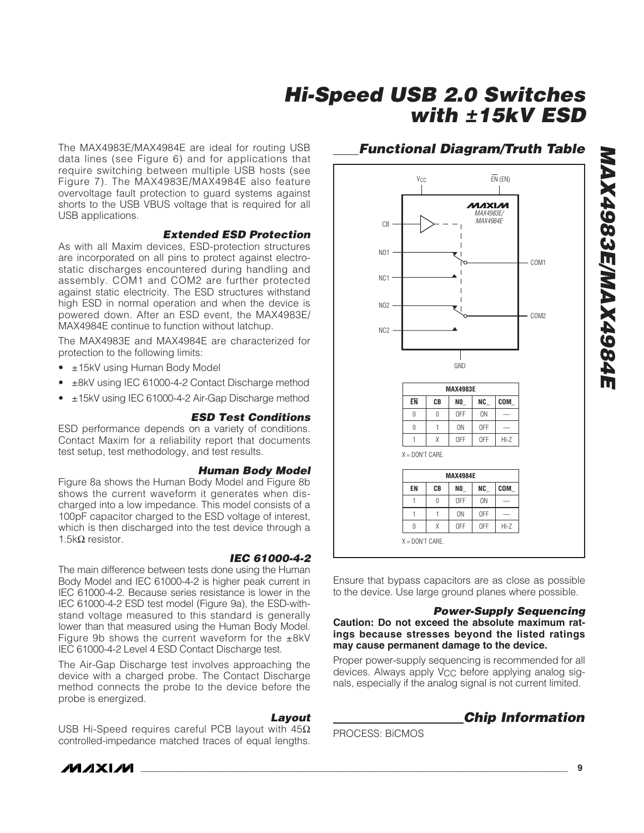The MAX4983E/MAX4984E are ideal for routing USB data lines (see Figure 6) and for applications that require switching between multiple USB hosts (see Figure 7). The MAX4983E/MAX4984E also feature overvoltage fault protection to guard systems against shorts to the USB VBUS voltage that is required for all USB applications.

#### **Extended ESD Protection**

As with all Maxim devices, ESD-protection structures are incorporated on all pins to protect against electrostatic discharges encountered during handling and assembly. COM1 and COM2 are further protected against static electricity. The ESD structures withstand high ESD in normal operation and when the device is powered down. After an ESD event, the MAX4983E/ MAX4984E continue to function without latchup.

The MAX4983E and MAX4984E are characterized for protection to the following limits:

- ±15kV using Human Body Model
- ±8kV using IEC 61000-4-2 Contact Discharge method
- ±15kV using IEC 61000-4-2 Air-Gap Discharge method

#### **ESD Test Conditions**

ESD performance depends on a variety of conditions. Contact Maxim for a reliability report that documents test setup, test methodology, and test results.

#### **Human Body Model**

Figure 8a shows the Human Body Model and Figure 8b shows the current waveform it generates when discharged into a low impedance. This model consists of a 100pF capacitor charged to the ESD voltage of interest, which is then discharged into the test device through a 1.5kΩ resistor.

#### **IEC 61000-4-2**

The main difference between tests done using the Human Body Model and IEC 61000-4-2 is higher peak current in IEC 61000-4-2. Because series resistance is lower in the IEC 61000-4-2 ESD test model (Figure 9a), the ESD-withstand voltage measured to this standard is generally lower than that measured using the Human Body Model. Figure 9b shows the current waveform for the  $\pm 8kV$ IEC 61000-4-2 Level 4 ESD Contact Discharge test.

The Air-Gap Discharge test involves approaching the device with a charged probe. The Contact Discharge method connects the probe to the device before the probe is energized.

#### **Layout**

USB Hi-Speed requires careful PCB layout with 45Ω controlled-impedance matched traces of equal lengths.

## **Functional Diagram/Truth Table**



Ensure that bypass capacitors are as close as possible to the device. Use large ground planes where possible.

#### **Power-Supply Sequencing**

**Caution: Do not exceed the absolute maximum ratings because stresses beyond the listed ratings may cause permanent damage to the device.**

Proper power-supply sequencing is recommended for all devices. Always apply V<sub>CC</sub> before applying analog signals, especially if the analog signal is not current limited.

**Chip Information**

PROCESS: BiCMOS

**MAXM**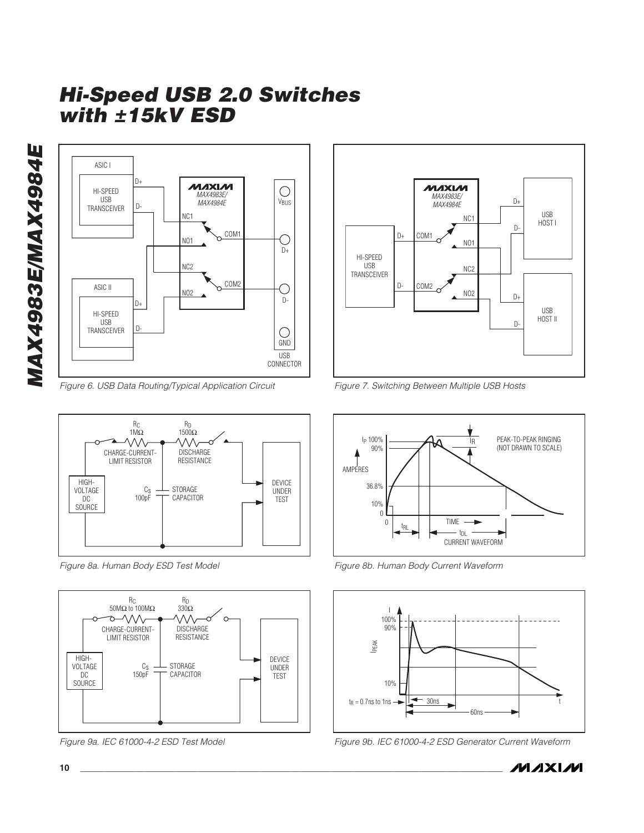MAX4983E/MAX4984E **MAX4983E/MAX4984E**



Figure 6. USB Data Routing/Typical Application Circuit



Figure 8a. Human Body ESD Test Model



Figure 9a. IEC 61000-4-2 ESD Test Model



Figure 7. Switching Between Multiple USB Hosts



Figure 8b. Human Body Current Waveform



Figure 9b. IEC 61000-4-2 ESD Generator Current Waveform

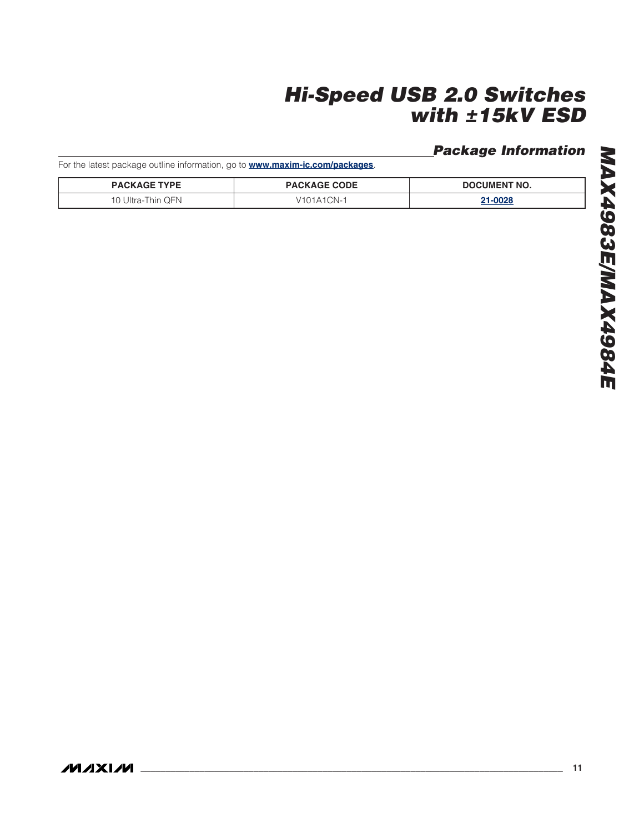## **Package Information**

For the latest package outline information, go to **www.maxim-ic.com/packages**.

| <b>PACKAGE TYPE</b>         | <b>PACKAGE CODE</b> | <b>DOCUMENT NO.</b> |
|-----------------------------|---------------------|---------------------|
| . QFN<br>10 Ultra-1<br>hin. | CN-                 | מכחה.               |